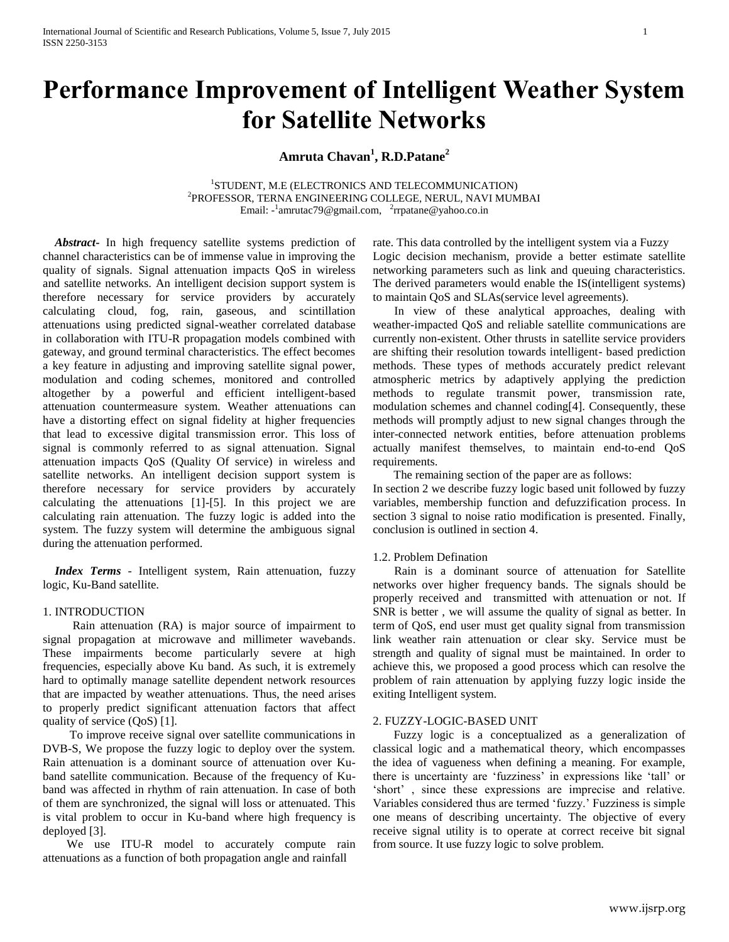# **Performance Improvement of Intelligent Weather System for Satellite Networks**

## **Amruta Chavan<sup>1</sup> , R.D.Patane<sup>2</sup>**

1 STUDENT, M.E (ELECTRONICS AND TELECOMMUNICATION) 2 PROFESSOR, TERNA ENGINEERING COLLEGE, NERUL, NAVI MUMBAI Email: -<sup>1</sup>[amrutac79@gmail.com,](mailto:amrutac79@gmail.com) <sup>2</sup>rrpatane@yahoo.co.in

 *Abstract***-** In high frequency satellite systems prediction of channel characteristics can be of immense value in improving the quality of signals. Signal attenuation impacts QoS in wireless and satellite networks. An intelligent decision support system is therefore necessary for service providers by accurately calculating cloud, fog, rain, gaseous, and scintillation attenuations using predicted signal-weather correlated database in collaboration with ITU-R propagation models combined with gateway, and ground terminal characteristics. The effect becomes a key feature in adjusting and improving satellite signal power, modulation and coding schemes, monitored and controlled altogether by a powerful and efficient intelligent-based attenuation countermeasure system. Weather attenuations can have a distorting effect on signal fidelity at higher frequencies that lead to excessive digital transmission error. This loss of signal is commonly referred to as signal attenuation. Signal attenuation impacts QoS (Quality Of service) in wireless and satellite networks. An intelligent decision support system is therefore necessary for service providers by accurately calculating the attenuations [1]-[5]. In this project we are calculating rain attenuation. The fuzzy logic is added into the system. The fuzzy system will determine the ambiguous signal during the attenuation performed.

 *Index Terms* - Intelligent system, Rain attenuation, fuzzy logic, Ku-Band satellite.

## 1. INTRODUCTION

 Rain attenuation (RA) is major source of impairment to signal propagation at microwave and millimeter wavebands. These impairments become particularly severe at high frequencies, especially above Ku band. As such, it is extremely hard to optimally manage satellite dependent network resources that are impacted by weather attenuations. Thus, the need arises to properly predict significant attenuation factors that affect quality of service (QoS) [1].

 To improve receive signal over satellite communications in DVB-S, We propose the fuzzy logic to deploy over the system. Rain attenuation is a dominant source of attenuation over Kuband satellite communication. Because of the frequency of Kuband was affected in rhythm of rain attenuation. In case of both of them are synchronized, the signal will loss or attenuated. This is vital problem to occur in Ku-band where high frequency is deployed [3].

We use ITU-R model to accurately compute rain attenuations as a function of both propagation angle and rainfall

rate. This data controlled by the intelligent system via a Fuzzy Logic decision mechanism, provide a better estimate satellite networking parameters such as link and queuing characteristics. The derived parameters would enable the IS(intelligent systems) to maintain QoS and SLAs(service level agreements).

 In view of these analytical approaches, dealing with weather-impacted QoS and reliable satellite communications are currently non-existent. Other thrusts in satellite service providers are shifting their resolution towards intelligent- based prediction methods. These types of methods accurately predict relevant atmospheric metrics by adaptively applying the prediction methods to regulate transmit power, transmission rate, modulation schemes and channel coding[4]. Consequently, these methods will promptly adjust to new signal changes through the inter-connected network entities, before attenuation problems actually manifest themselves, to maintain end-to-end QoS requirements.

 The remaining section of the paper are as follows: In section 2 we describe fuzzy logic based unit followed by fuzzy variables, membership function and defuzzification process. In section 3 signal to noise ratio modification is presented. Finally, conclusion is outlined in section 4.

## 1.2. Problem Defination

Rain is a dominant source of attenuation for Satellite networks over higher frequency bands. The signals should be properly received and transmitted with attenuation or not. If SNR is better , we will assume the quality of signal as better. In term of QoS, end user must get quality signal from transmission link weather rain attenuation or clear sky. Service must be strength and quality of signal must be maintained. In order to achieve this, we proposed a good process which can resolve the problem of rain attenuation by applying fuzzy logic inside the exiting Intelligent system.

#### 2. FUZZY-LOGIC-BASED UNIT

 Fuzzy logic is a conceptualized as a generalization of classical logic and a mathematical theory, which encompasses the idea of vagueness when defining a meaning. For example, there is uncertainty are 'fuzziness' in expressions like 'tall' or 'short' , since these expressions are imprecise and relative. Variables considered thus are termed 'fuzzy.' Fuzziness is simple one means of describing uncertainty. The objective of every receive signal utility is to operate at correct receive bit signal from source. It use fuzzy logic to solve problem.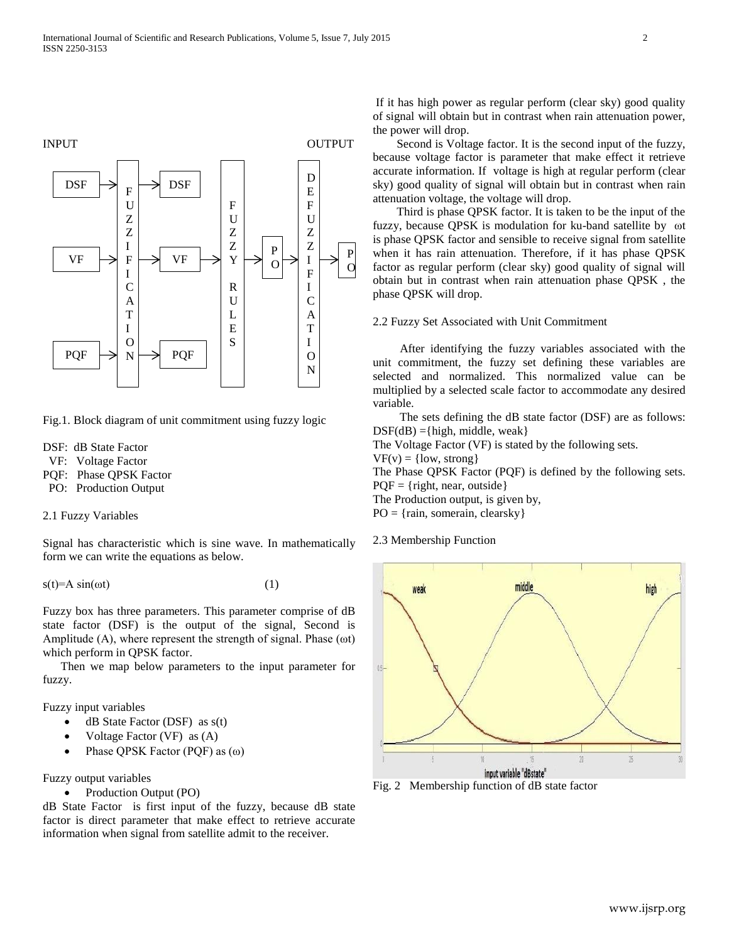

Fig.1. Block diagram of unit commitment using fuzzy logic

- DSF: dB State Factor
- VF: Voltage Factor
- PQF: Phase QPSK Factor
- PO: Production Output
- 2.1 Fuzzy Variables

Signal has characteristic which is sine wave. In mathematically form we can write the equations as below.

 $s(t)=A \sin(\omega t)$  (1)

Fuzzy box has three parameters. This parameter comprise of dB state factor (DSF) is the output of the signal, Second is Amplitude (A), where represent the strength of signal. Phase (ωt) which perform in QPSK factor.

 Then we map below parameters to the input parameter for fuzzy.

Fuzzy input variables

- $\bullet$  dB State Factor (DSF) as  $s(t)$
- Voltage Factor (VF) as (A)
- Phase QPSK Factor (PQF) as (ω)

Fuzzy output variables

• Production Output (PO)

dB State Factor is first input of the fuzzy, because dB state factor is direct parameter that make effect to retrieve accurate information when signal from satellite admit to the receiver.

If it has high power as regular perform (clear sky) good quality of signal will obtain but in contrast when rain attenuation power, the power will drop.

 Second is Voltage factor. It is the second input of the fuzzy, because voltage factor is parameter that make effect it retrieve accurate information. If voltage is high at regular perform (clear sky) good quality of signal will obtain but in contrast when rain attenuation voltage, the voltage will drop.

 Third is phase QPSK factor. It is taken to be the input of the fuzzy, because QPSK is modulation for ku-band satellite by ωt is phase QPSK factor and sensible to receive signal from satellite when it has rain attenuation. Therefore, if it has phase QPSK factor as regular perform (clear sky) good quality of signal will obtain but in contrast when rain attenuation phase QPSK , the phase QPSK will drop.

#### 2.2 Fuzzy Set Associated with Unit Commitment

 After identifying the fuzzy variables associated with the unit commitment, the fuzzy set defining these variables are selected and normalized. This normalized value can be multiplied by a selected scale factor to accommodate any desired variable.

 The sets defining the dB state factor (DSF) are as follows:  $DSF(dB) = \{high, middle, weak\}$ 

The Voltage Factor (VF) is stated by the following sets.

 $VF(v) = \{low, strong\}$ 

The Phase QPSK Factor (PQF) is defined by the following sets.  $POF = {right, near, outside}$ 

The Production output, is given by,

PO = {rain, somerain, clearsky}

2.3 Membership Function



Fig. 2 Membership function of dB state factor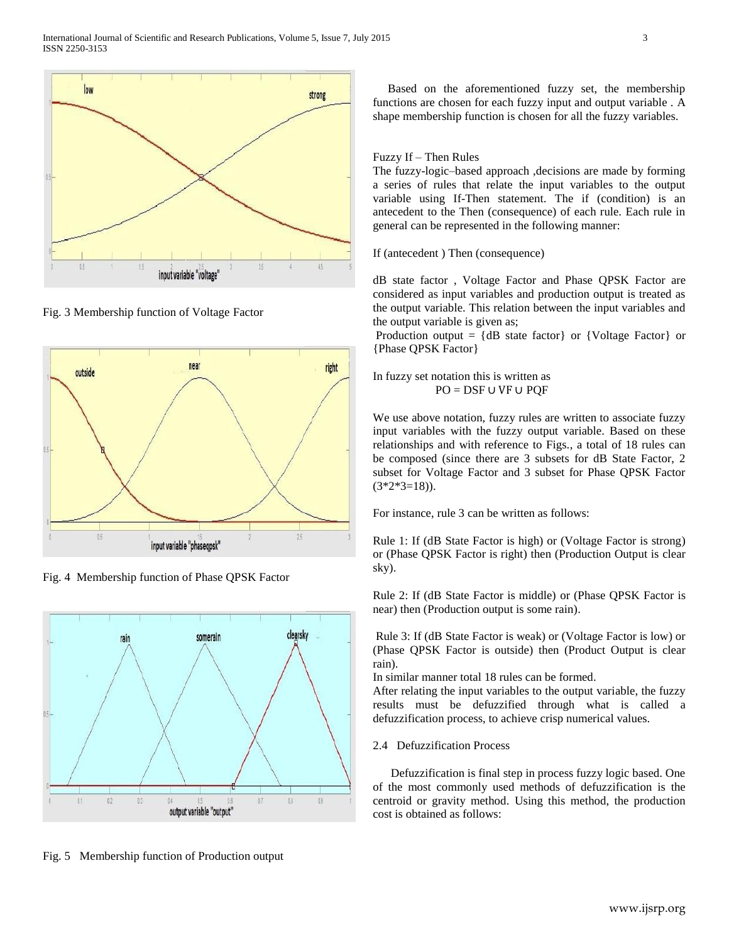

Fig. 3 Membership function of Voltage Factor



Fig. 4 Membership function of Phase QPSK Factor



Fig. 5 Membership function of Production output

 Based on the aforementioned fuzzy set, the membership functions are chosen for each fuzzy input and output variable . A shape membership function is chosen for all the fuzzy variables.

## Fuzzy If – Then Rules

The fuzzy-logic–based approach ,decisions are made by forming a series of rules that relate the input variables to the output variable using If-Then statement. The if (condition) is an antecedent to the Then (consequence) of each rule. Each rule in general can be represented in the following manner:

If (antecedent ) Then (consequence)

dB state factor , Voltage Factor and Phase QPSK Factor are considered as input variables and production output is treated as the output variable. This relation between the input variables and the output variable is given as;

Production output =  ${dB}$  state factor or  ${Voltage Factor}$  or {Phase QPSK Factor}

In fuzzy set notation this is written as PO = DSF ∪ VF ∪ PQF

We use above notation, fuzzy rules are written to associate fuzzy input variables with the fuzzy output variable. Based on these relationships and with reference to Figs., a total of 18 rules can be composed (since there are 3 subsets for dB State Factor, 2 subset for Voltage Factor and 3 subset for Phase QPSK Factor  $(3*2*3=18)$ .

For instance, rule 3 can be written as follows:

Rule 1: If (dB State Factor is high) or (Voltage Factor is strong) or (Phase QPSK Factor is right) then (Production Output is clear sky).

Rule 2: If (dB State Factor is middle) or (Phase QPSK Factor is near) then (Production output is some rain).

Rule 3: If (dB State Factor is weak) or (Voltage Factor is low) or (Phase QPSK Factor is outside) then (Product Output is clear rain).

In similar manner total 18 rules can be formed.

After relating the input variables to the output variable, the fuzzy results must be defuzzified through what is called a defuzzification process, to achieve crisp numerical values.

## 2.4 Defuzzification Process

 Defuzzification is final step in process fuzzy logic based. One of the most commonly used methods of defuzzification is the centroid or gravity method. Using this method, the production cost is obtained as follows: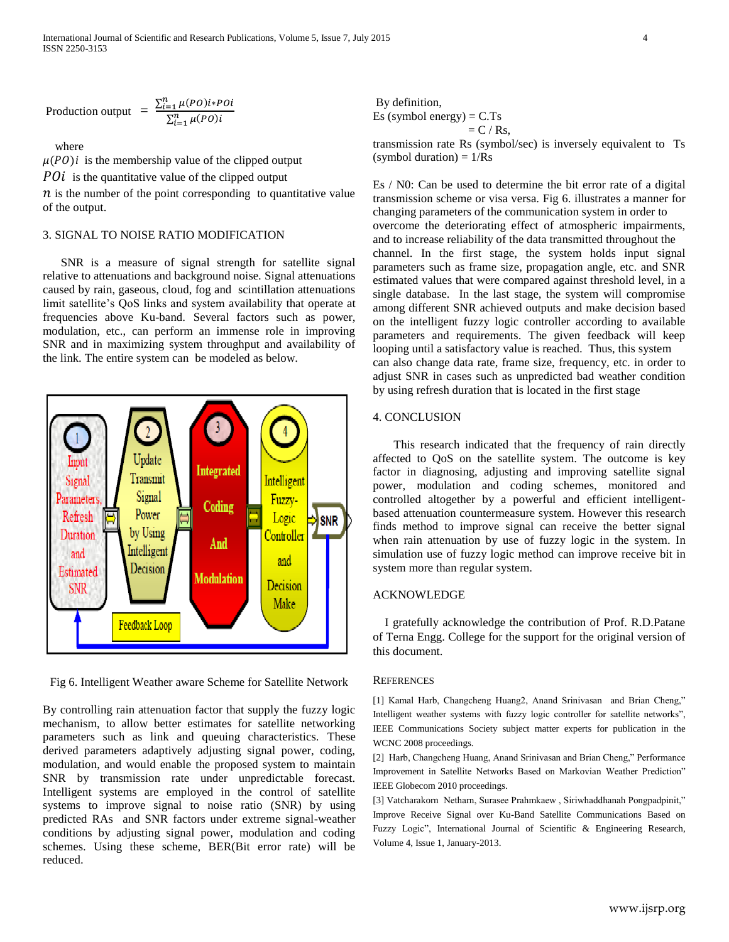International Journal of Scientific and Research Publications, Volume 5, Issue 7, July 2015 4 ISSN 2250-3153

Production output 
$$
= \frac{\sum_{i=1}^{n} \mu(PO)i*POi}{\sum_{i=1}^{n} \mu(PO)i}
$$

where

 $\mu(PO)i$  is the membership value of the clipped output

 $P0i$  is the quantitative value of the clipped output

 $\hat{n}$  is the number of the point corresponding to quantitative value of the output.

## 3. SIGNAL TO NOISE RATIO MODIFICATION

 SNR is a measure of signal strength for satellite signal relative to attenuations and background noise. Signal attenuations caused by rain, gaseous, cloud, fog and scintillation attenuations limit satellite's QoS links and system availability that operate at frequencies above Ku-band. Several factors such as power, modulation, etc., can perform an immense role in improving SNR and in maximizing system throughput and availability of the link. The entire system can be modeled as below.



Fig 6. Intelligent Weather aware Scheme for Satellite Network

By controlling rain attenuation factor that supply the fuzzy logic mechanism, to allow better estimates for satellite networking parameters such as link and queuing characteristics. These derived parameters adaptively adjusting signal power, coding, modulation, and would enable the proposed system to maintain SNR by transmission rate under unpredictable forecast. Intelligent systems are employed in the control of satellite systems to improve signal to noise ratio (SNR) by using predicted RAs and SNR factors under extreme signal-weather conditions by adjusting signal power, modulation and coding schemes. Using these scheme, BER(Bit error rate) will be reduced.

By definition, Es (symbol energy)  $= C.Ts$  $= C / Rs$ ,

transmission rate Rs (symbol/sec) is inversely equivalent to Ts  $(symbol duration) = 1/Rs$ 

Es / N0: Can be used to determine the bit error rate of a digital transmission scheme or visa versa. Fig 6. illustrates a manner for changing parameters of the communication system in order to overcome the deteriorating effect of atmospheric impairments, and to increase reliability of the data transmitted throughout the channel. In the first stage, the system holds input signal parameters such as frame size, propagation angle, etc. and SNR estimated values that were compared against threshold level, in a single database. In the last stage, the system will compromise among different SNR achieved outputs and make decision based on the intelligent fuzzy logic controller according to available parameters and requirements. The given feedback will keep looping until a satisfactory value is reached. Thus, this system can also change data rate, frame size, frequency, etc. in order to adjust SNR in cases such as unpredicted bad weather condition by using refresh duration that is located in the first stage

## 4. CONCLUSION

 This research indicated that the frequency of rain directly affected to QoS on the satellite system. The outcome is key factor in diagnosing, adjusting and improving satellite signal power, modulation and coding schemes, monitored and controlled altogether by a powerful and efficient intelligentbased attenuation countermeasure system. However this research finds method to improve signal can receive the better signal when rain attenuation by use of fuzzy logic in the system. In simulation use of fuzzy logic method can improve receive bit in system more than regular system.

## ACKNOWLEDGE

 I gratefully acknowledge the contribution of Prof. R.D.Patane of Terna Engg. College for the support for the original version of this document.

## **REFERENCES**

[1] Kamal Harb, Changcheng Huang2, Anand Srinivasan and Brian Cheng," Intelligent weather systems with fuzzy logic controller for satellite networks", IEEE Communications Society subject matter experts for publication in the WCNC 2008 proceedings.

[2] Harb, Changcheng Huang, Anand Srinivasan and Brian Cheng," Performance Improvement in Satellite Networks Based on Markovian Weather Prediction" IEEE Globecom 2010 proceedings.

[3] Vatcharakorn Netharn, Surasee Prahmkaew , Siriwhaddhanah Pongpadpinit," Improve Receive Signal over Ku-Band Satellite Communications Based on Fuzzy Logic", International Journal of Scientific & Engineering Research, Volume 4, Issue 1, January-2013.